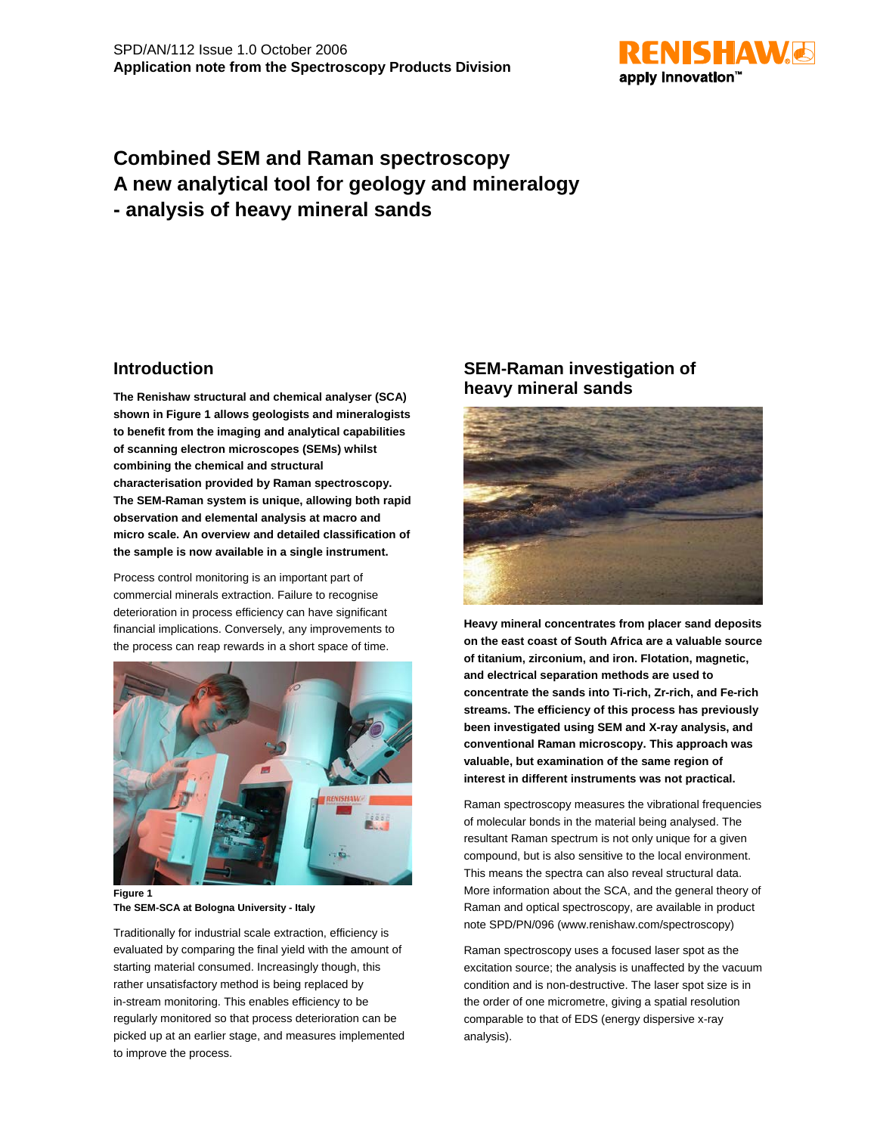

# **Combined SEM and Raman spectroscopy A new analytical tool for geology and mineralogy - analysis of heavy mineral sands**

### **Introduction**

**The Renishaw structural and chemical analyser (SCA) shown in Figure 1 allows geologists and mineralogists to benefit from the imaging and analytical capabilities of scanning electron microscopes (SEMs) whilst combining the chemical and structural characterisation provided by Raman spectroscopy. The SEM-Raman system is unique, allowing both rapid observation and elemental analysis at macro and micro scale. An overview and detailed classification of the sample is now available in a single instrument.**

Process control monitoring is an important part of commercial minerals extraction. Failure to recognise deterioration in process efficiency can have significant financial implications. Conversely, any improvements to the process can reap rewards in a short space of time.



**Figure 1 The SEM-SCA at Bologna University - Italy**

Traditionally for industrial scale extraction, efficiency is evaluated by comparing the final yield with the amount of starting material consumed. Increasingly though, this rather unsatisfactory method is being replaced by in-stream monitoring. This enables efficiency to be regularly monitored so that process deterioration can be picked up at an earlier stage, and measures implemented to improve the process.

## **SEM-Raman investigation of heavy mineral sands**



**Heavy mineral concentrates from placer sand deposits on the east coast of South Africa are a valuable source of titanium, zirconium, and iron. Flotation, magnetic, and electrical separation methods are used to concentrate the sands into Ti-rich, Zr-rich, and Fe-rich streams. The efficiency of this process has previously been investigated using SEM and X-ray analysis, and conventional Raman microscopy. This approach was valuable, but examination of the same region of interest in different instruments was not practical.**

Raman spectroscopy measures the vibrational frequencies of molecular bonds in the material being analysed. The resultant Raman spectrum is not only unique for a given compound, but is also sensitive to the local environment. This means the spectra can also reveal structural data. More information about the SCA, and the general theory of Raman and optical spectroscopy, are available in product note SPD/PN/096 (www.renishaw.com/spectroscopy)

Raman spectroscopy uses a focused laser spot as the excitation source; the analysis is unaffected by the vacuum condition and is non-destructive. The laser spot size is in the order of one micrometre, giving a spatial resolution comparable to that of EDS (energy dispersive x-ray analysis).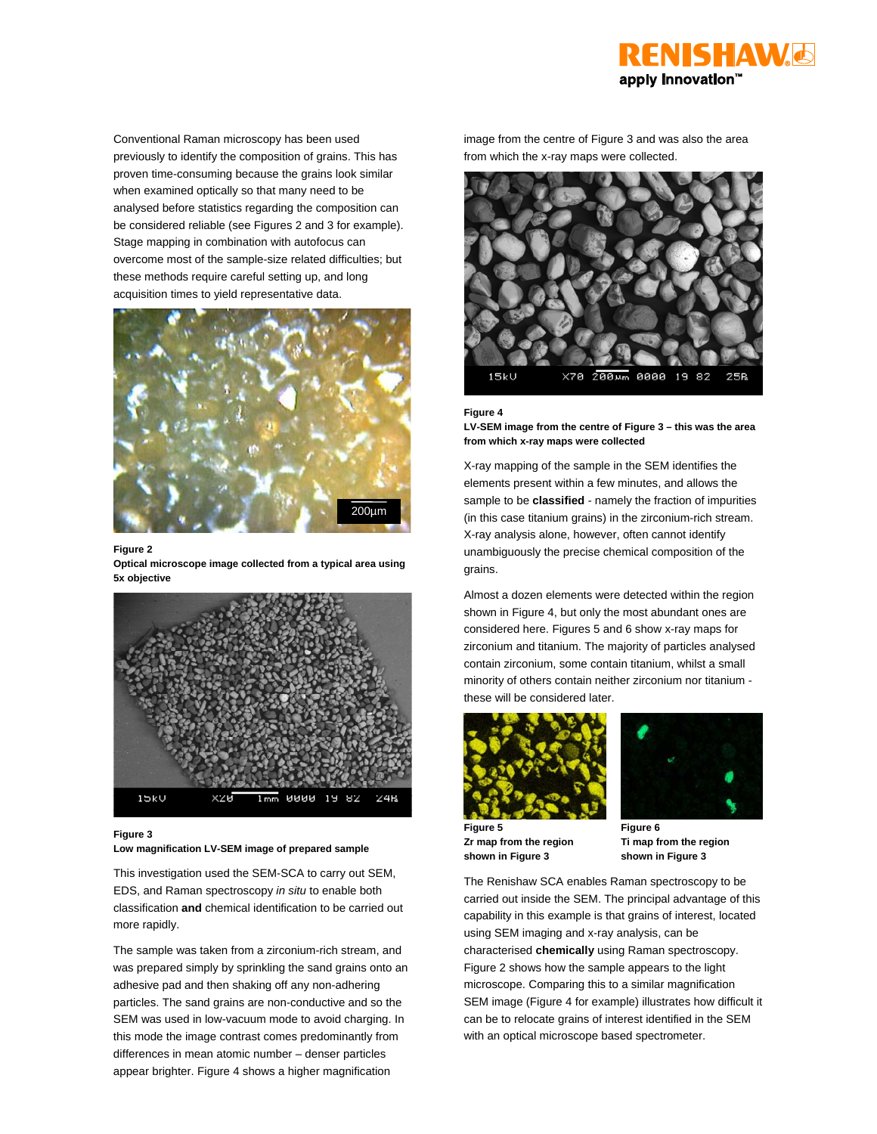

Conventional Raman microscopy has been used previously to identify the composition of grains. This has proven time-consuming because the grains look similar when examined optically so that many need to be analysed before statistics regarding the composition can be considered reliable (see Figures 2 and 3 for example). Stage mapping in combination with autofocus can overcome most of the sample-size related difficulties; but these methods require careful setting up, and long acquisition times to yield representative data.



### **Figure 2**

**Optical microscope image collected from a typical area using 5x objective**



#### **Figure 3**

**Low magnification LV-SEM image of prepared sample**

This investigation used the SEM-SCA to carry out SEM, EDS, and Raman spectroscopy *in situ* to enable both classification **and** chemical identification to be carried out more rapidly.

The sample was taken from a zirconium-rich stream, and was prepared simply by sprinkling the sand grains onto an adhesive pad and then shaking off any non-adhering particles. The sand grains are non-conductive and so the SEM was used in low-vacuum mode to avoid charging. In this mode the image contrast comes predominantly from differences in mean atomic number – denser particles appear brighter. Figure 4 shows a higher magnification

image from the centre of Figure 3 and was also the area from which the x-ray maps were collected.



### **Figure 4**

**LV-SEM image from the centre of Figure 3 – this was the area from which x-ray maps were collected**

X-ray mapping of the sample in the SEM identifies the elements present within a few minutes, and allows the sample to be **classified** *-* namely the fraction of impurities (in this case titanium grains) in the zirconium-rich stream. X-ray analysis alone, however, often cannot identify unambiguously the precise chemical composition of the grains.

Almost a dozen elements were detected within the region shown in Figure 4, but only the most abundant ones are considered here. Figures 5 and 6 show x-ray maps for zirconium and titanium. The majority of particles analysed contain zirconium, some contain titanium, whilst a small minority of others contain neither zirconium nor titanium these will be considered later.



**Figure 5 Zr map from the region shown in Figure 3**



**Figure 6 Ti map from the region shown in Figure 3**

The Renishaw SCA enables Raman spectroscopy to be carried out inside the SEM. The principal advantage of this capability in this example is that grains of interest, located using SEM imaging and x-ray analysis, can be characterised **chemically** using Raman spectroscopy. Figure 2 shows how the sample appears to the light microscope. Comparing this to a similar magnification SEM image (Figure 4 for example) illustrates how difficult it can be to relocate grains of interest identified in the SEM with an optical microscope based spectrometer.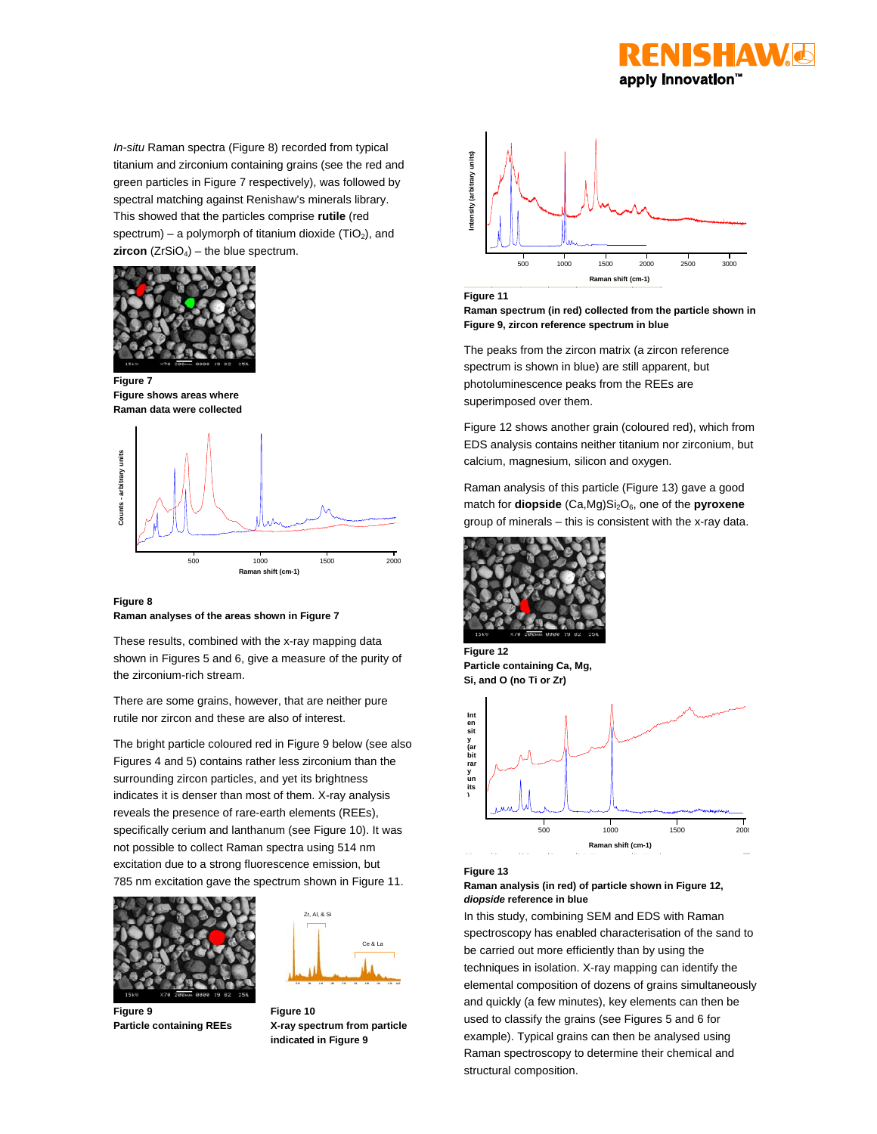

*In-situ* Raman spectra (Figure 8) recorded from typical titanium and zirconium containing grains (see the red and green particles in Figure 7 respectively), was followed by spectral matching against Renishaw's minerals library. This showed that the particles comprise **rutile** (red spectrum) – a polymorph of titanium dioxide (TiO<sub>2</sub>), and **zircon** ( $ZrSiO<sub>4</sub>$ ) – the blue spectrum.



**Figure 7 Figure shows areas where Raman data were collected**



**Figure 8 Raman analyses of the areas shown in Figure 7**

These results, combined with the x-ray mapping data shown in Figures 5 and 6, give a measure of the purity of the zirconium-rich stream.

There are some grains, however, that are neither pure rutile nor zircon and these are also of interest.

The bright particle coloured red in Figure 9 below (see also Figures 4 and 5) contains rather less zirconium than the surrounding zircon particles, and yet its brightness indicates it is denser than most of them. X-ray analysis reveals the presence of rare-earth elements (REEs), specifically cerium and lanthanum (see Figure 10). It was not possible to collect Raman spectra using 514 nm excitation due to a strong fluorescence emission, but 785 nm excitation gave the spectrum shown in Figure 11.





**Figure 9 Particle containing REEs**

**Figure 10 X-ray spectrum from particle indicated in Figure 9**



**Figure 11**

**Raman spectrum (in red) collected from the particle shown in Figure 9, zircon reference spectrum in blue**

The peaks from the zircon matrix (a zircon reference spectrum is shown in blue) are still apparent, but photoluminescence peaks from the REEs are superimposed over them.

Figure 12 shows another grain (coloured red), which from EDS analysis contains neither titanium nor zirconium, but calcium, magnesium, silicon and oxygen.

Raman analysis of this particle (Figure 13) gave a good match for **diopside** (Ca,Mg)Si<sub>2</sub>O<sub>6</sub>, one of the **pyroxene** group of minerals – this is consistent with the x-ray data.



**Figure 12 Particle containing Ca, Mg, Si, and O (no Ti or Zr)**



**Figure 13**

### **Raman analysis (in red) of particle shown in Figure 12,** *diopside* **reference in blue**

In this study, combining SEM and EDS with Raman spectroscopy has enabled characterisation of the sand to be carried out more efficiently than by using the techniques in isolation. X-ray mapping can identify the elemental composition of dozens of grains simultaneously and quickly (a few minutes), key elements can then be used to classify the grains (see Figures 5 and 6 for example). Typical grains can then be analysed using Raman spectroscopy to determine their chemical and structural composition.